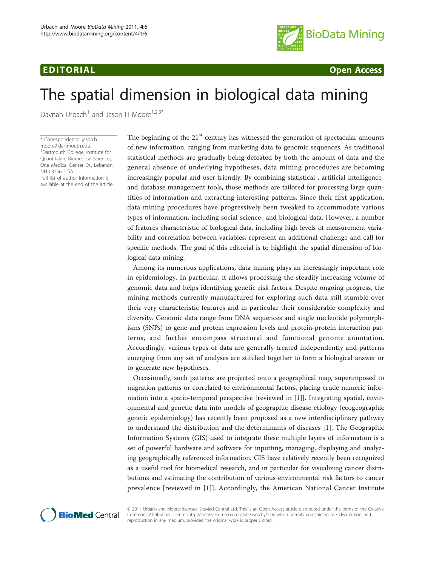## EDITORIAL CONTRACTES CONTRACTES AND THE CONTRACTES OPEN Access



# The spatial dimension in biological data mining

Davnah Urbach<sup>1</sup> and Jason H Moore<sup>1,2,3\*</sup>

\* Correspondence: [jason.h.](mailto:jason.h.moore@dartmouth.edu) [moore@dartmouth.edu](mailto:jason.h.moore@dartmouth.edu) <sup>1</sup>Dartmouth College, Institute for Quantitative Biomedical Sciences, One Medical Center Dr., Lebanon, NH 03756, USA Full list of author information is

available at the end of the article

The beginning of the  $21<sup>st</sup>$  century has witnessed the generation of spectacular amounts of new information, ranging from marketing data to genomic sequences. As traditional statistical methods are gradually being defeated by both the amount of data and the general absence of underlying hypotheses, data mining procedures are becoming increasingly popular and user-friendly. By combining statistical-, artificial intelligenceand database management tools, those methods are tailored for processing large quantities of information and extracting interesting patterns. Since their first application, data mining procedures have progressively been tweaked to accommodate various types of information, including social science- and biological data. However, a number of features characteristic of biological data, including high levels of measurement variability and correlation between variables, represent an additional challenge and call for specific methods. The goal of this editorial is to highlight the spatial dimension of biological data mining.

Among its numerous applications, data mining plays an increasingly important role in epidemiology. In particular, it allows processing the steadily increasing volume of genomic data and helps identifying genetic risk factors. Despite ongoing progress, the mining methods currently manufactured for exploring such data still stumble over their very characteristic features and in particular their considerable complexity and diversity. Genomic data range from DNA sequences and single nucleotide polymorphisms (SNPs) to gene and protein expression levels and protein-protein interaction patterns, and further encompass structural and functional genome annotation. Accordingly, various types of data are generally treated independently and patterns emerging from any set of analyses are stitched together to form a biological answer or to generate new hypotheses.

Occasionally, such patterns are projected onto a geographical map, superimposed to migration patterns or correlated to environmental factors, placing crude numeric information into a spatio-temporal perspective [reviewed in [[1\]](#page-1-0)]. Integrating spatial, environmental and genetic data into models of geographic disease etiology (ecogeographic genetic epidemiology) has recently been proposed as a new interdisciplinary pathway to understand the distribution and the determinants of diseases [\[1](#page-1-0)]. The Geographic Information Systems (GIS) used to integrate these multiple layers of information is a set of powerful hardware and software for inputting, managing, displaying and analyzing geographically referenced information. GIS have relatively recently been recognized as a useful tool for biomedical research, and in particular for visualizing cancer distributions and estimating the contribution of various environmental risk factors to cancer prevalence [reviewed in [[1\]](#page-1-0)]. Accordingly, the American National Cancer Institute



© 2011 Urbach and Moore; licensee BioMed Central Ltd. This is an Open Access article distributed under the terms of the Creative Commons Attribution License [\(http://creativecommons.org/licenses/by/2.0](http://creativecommons.org/licenses/by/2.0)), which permits unrestricted use, distribution, and reproduction in any medium, provided the original work is properly cited.